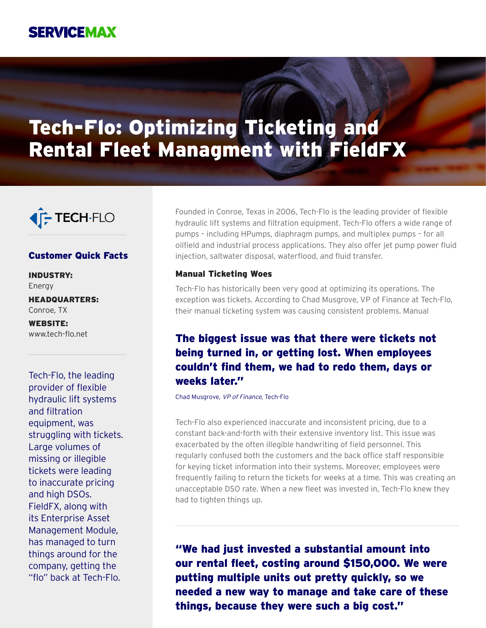

# Tech-Flo: Optimizing Ticketing and Rental Fleet Managment with FieldFX



## Customer Quick Facts

INDUSTRY: Energy

HEADQUARTERS: Conroe, TX

WEBSITE: www.tech-flo.net

Tech-Flo, the leading provider of flexible hydraulic lift systems and filtration equipment, was struggling with tickets. Large volumes of missing or illegible tickets were leading to inaccurate pricing and high DSOs. FieldFX, along with its Enterprise Asset Management Module, has managed to turn things around for the company, getting the "flo" back at Tech-Flo.

Founded in Conroe, Texas in 2006, Tech-Flo is the leading provider of flexible hydraulic lift systems and filtration equipment. Tech-Flo offers a wide range of pumps – including HPumps, diaphragm pumps, and multiplex pumps – for all oilfield and industrial process applications. They also offer jet pump power fluid injection, saltwater disposal, waterflood, and fluid transfer.

#### Manual Ticketing Woes

Tech-Flo has historically been very good at optimizing its operations. The exception was tickets. According to Chad Musgrove, VP of Finance at Tech-Flo, their manual ticketing system was causing consistent problems. Manual

# The biggest issue was that there were tickets not being turned in, or getting lost. When employees couldn't find them, we had to redo them, days or weeks later."

Chad Musgrove, VP of Finance, Tech-Flo

Tech-Flo also experienced inaccurate and inconsistent pricing, due to a constant back-and-forth with their extensive inventory list. This issue was exacerbated by the often illegible handwriting of field personnel. This regularly confused both the customers and the back office staff responsible for keying ticket information into their systems. Moreover, employees were frequently failing to return the tickets for weeks at a time. This was creating an unacceptable DSO rate. When a new fleet was invested in, Tech-Flo knew they had to tighten things up.

"We had just invested a substantial amount into our rental fleet, costing around \$150,000. We were putting multiple units out pretty quickly, so we needed a new way to manage and take care of these things, because they were such a big cost."